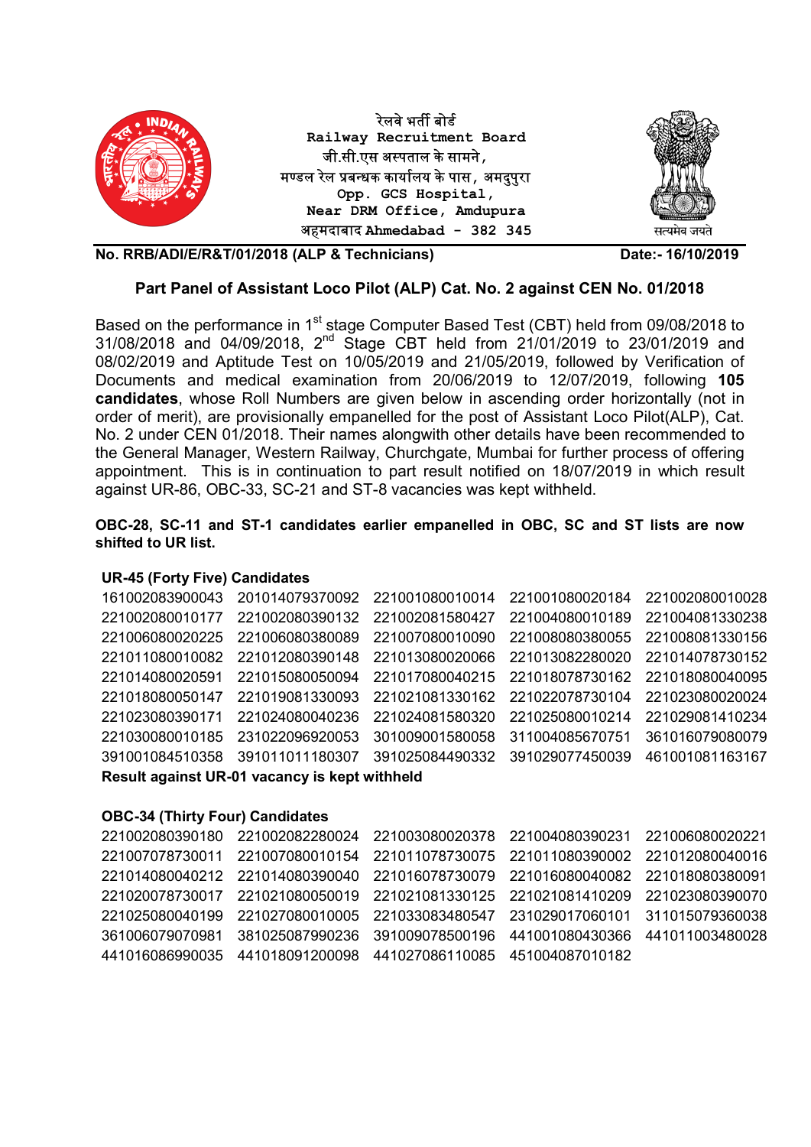

## Part Panel of Assistant Loco Pilot (ALP) Cat. No. 2 against CEN No. 01/2018

Based on the performance in 1<sup>st</sup> stage Computer Based Test (CBT) held from 09/08/2018 to 31/08/2018 and 04/09/2018, 2nd Stage CBT held from 21/01/2019 to 23/01/2019 and 08/02/2019 and Aptitude Test on 10/05/2019 and 21/05/2019, followed by Verification of Documents and medical examination from 20/06/2019 to 12/07/2019, following 105 candidates, whose Roll Numbers are given below in ascending order horizontally (not in order of merit), are provisionally empanelled for the post of Assistant Loco Pilot(ALP), Cat. No. 2 under CEN 01/2018. Their names alongwith other details have been recommended to the General Manager, Western Railway, Churchgate, Mumbai for further process of offering appointment. This is in continuation to part result notified on 18/07/2019 in which result against UR-86, OBC-33, SC-21 and ST-8 vacancies was kept withheld.

## OBC-28, SC-11 and ST-1 candidates earlier empanelled in OBC, SC and ST lists are now shifted to UR list.

## UR-45 (Forty Five) Candidates

| 161002083900043                               | 201014079370092 | 221001080010014 | 221001080020184 | 221002080010028 |  |  |  |
|-----------------------------------------------|-----------------|-----------------|-----------------|-----------------|--|--|--|
| 221002080010177                               | 221002080390132 | 221002081580427 | 221004080010189 | 221004081330238 |  |  |  |
| 221006080020225                               | 221006080380089 | 221007080010090 | 221008080380055 | 221008081330156 |  |  |  |
| 221011080010082                               | 221012080390148 | 221013080020066 | 221013082280020 | 221014078730152 |  |  |  |
| 221014080020591                               | 221015080050094 | 221017080040215 | 221018078730162 | 221018080040095 |  |  |  |
| 221018080050147                               | 221019081330093 | 221021081330162 | 221022078730104 | 221023080020024 |  |  |  |
| 221023080390171                               | 221024080040236 | 221024081580320 | 221025080010214 | 221029081410234 |  |  |  |
| 221030080010185                               | 231022096920053 | 301009001580058 | 311004085670751 | 361016079080079 |  |  |  |
| 391001084510358                               | 391011011180307 | 391025084490332 | 391029077450039 | 461001081163167 |  |  |  |
| Result against UR-01 vacancy is kept withheld |                 |                 |                 |                 |  |  |  |

## OBC-34 (Thirty Four) Candidates

|  | 221002080390180 221002082280024 221003080020378 221004080390231 221006080020221 |  |
|--|---------------------------------------------------------------------------------|--|
|  | 221007078730011 221007080010154 221011078730075 221011080390002 221012080040016 |  |
|  | 221014080040212 221014080390040 221016078730079 221016080040082 221018080380091 |  |
|  | 221020078730017 221021080050019 221021081330125 221021081410209 221023080390070 |  |
|  | 221025080040199 221027080010005 221033083480547 231029017060101 311015079360038 |  |
|  | 361006079070981 381025087990236 391009078500196 441001080430366 441011003480028 |  |
|  |                                                                                 |  |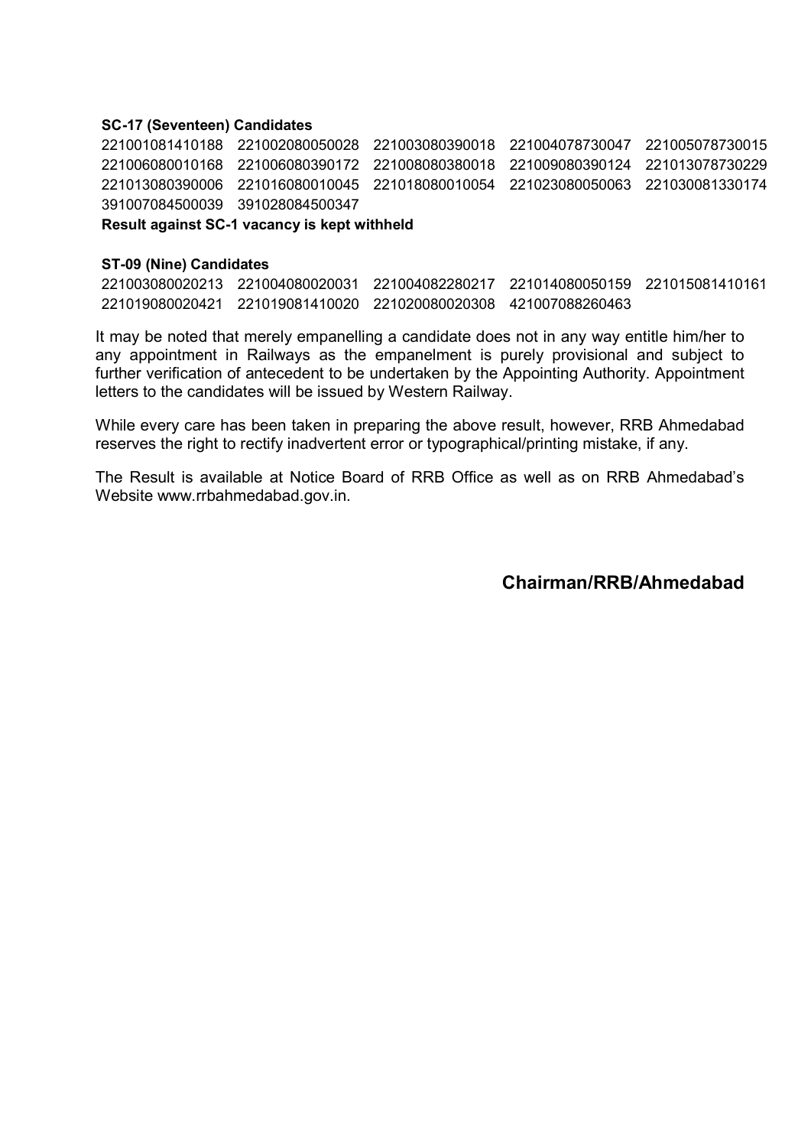### SC-17 (Seventeen) Candidates

 221002080050028 221003080390018 221004078730047 221005078730015 221006080390172 221008080380018 221009080390124 221013078730229 221016080010045 221018080010054 221023080050063 221030081330174 391028084500347

Result against SC-1 vacancy is kept withheld

#### ST-09 (Nine) Candidates

221003080020213 221004080020031 221004082280217 221014080050159 221015081410161 221019080020421 221019081410020 221020080020308 421007088260463

It may be noted that merely empanelling a candidate does not in any way entitle him/her to any appointment in Railways as the empanelment is purely provisional and subject to further verification of antecedent to be undertaken by the Appointing Authority. Appointment letters to the candidates will be issued by Western Railway.

While every care has been taken in preparing the above result, however, RRB Ahmedabad reserves the right to rectify inadvertent error or typographical/printing mistake, if any.

The Result is available at Notice Board of RRB Office as well as on RRB Ahmedabad's Website www.rrbahmedabad.gov.in.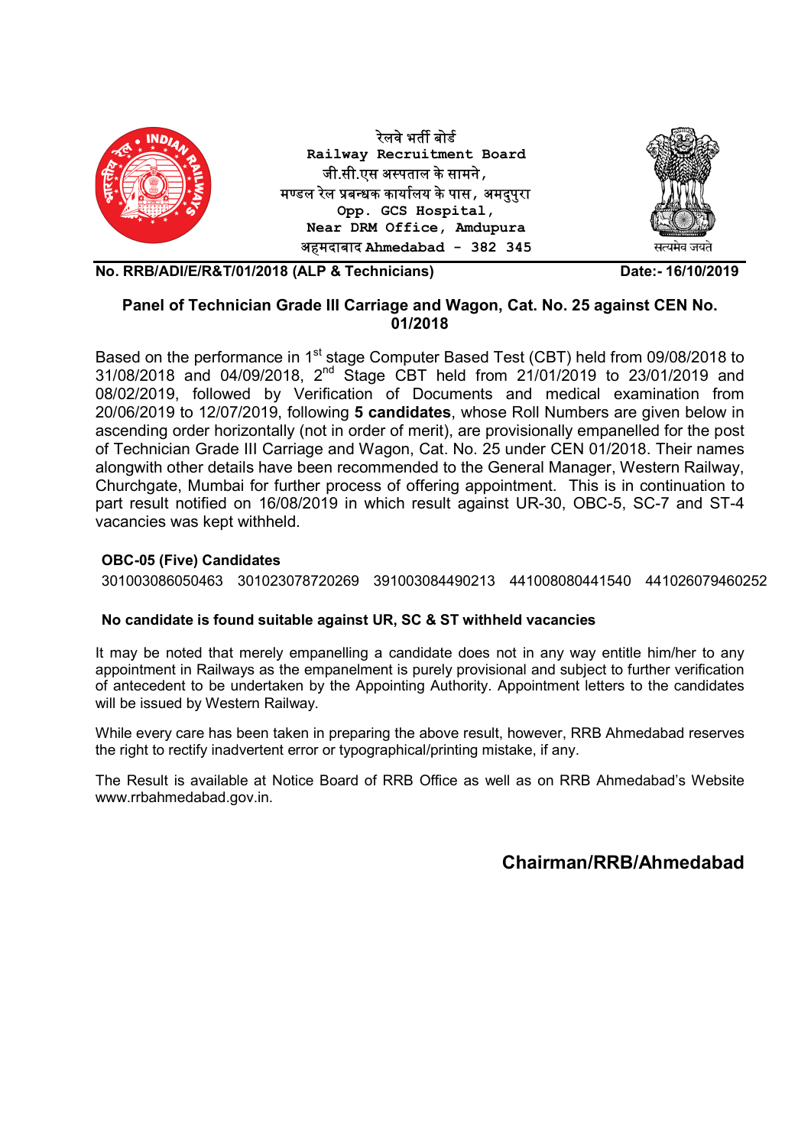

## Panel of Technician Grade III Carriage and Wagon, Cat. No. 25 against CEN No. 01/2018

Based on the performance in 1<sup>st</sup> stage Computer Based Test (CBT) held from 09/08/2018 to 31/08/2018 and 04/09/2018, 2nd Stage CBT held from 21/01/2019 to 23/01/2019 and 08/02/2019, followed by Verification of Documents and medical examination from 20/06/2019 to 12/07/2019, following 5 candidates, whose Roll Numbers are given below in ascending order horizontally (not in order of merit), are provisionally empanelled for the post of Technician Grade III Carriage and Wagon, Cat. No. 25 under CEN 01/2018. Their names alongwith other details have been recommended to the General Manager, Western Railway, Churchgate, Mumbai for further process of offering appointment. This is in continuation to part result notified on 16/08/2019 in which result against UR-30, OBC-5, SC-7 and ST-4 vacancies was kept withheld.

## OBC-05 (Five) Candidates

301003086050463 301023078720269 391003084490213 441008080441540 441026079460252

## No candidate is found suitable against UR, SC & ST withheld vacancies

It may be noted that merely empanelling a candidate does not in any way entitle him/her to any appointment in Railways as the empanelment is purely provisional and subject to further verification of antecedent to be undertaken by the Appointing Authority. Appointment letters to the candidates will be issued by Western Railway.

While every care has been taken in preparing the above result, however, RRB Ahmedabad reserves the right to rectify inadvertent error or typographical/printing mistake, if any.

The Result is available at Notice Board of RRB Office as well as on RRB Ahmedabad's Website www.rrbahmedabad.gov.in.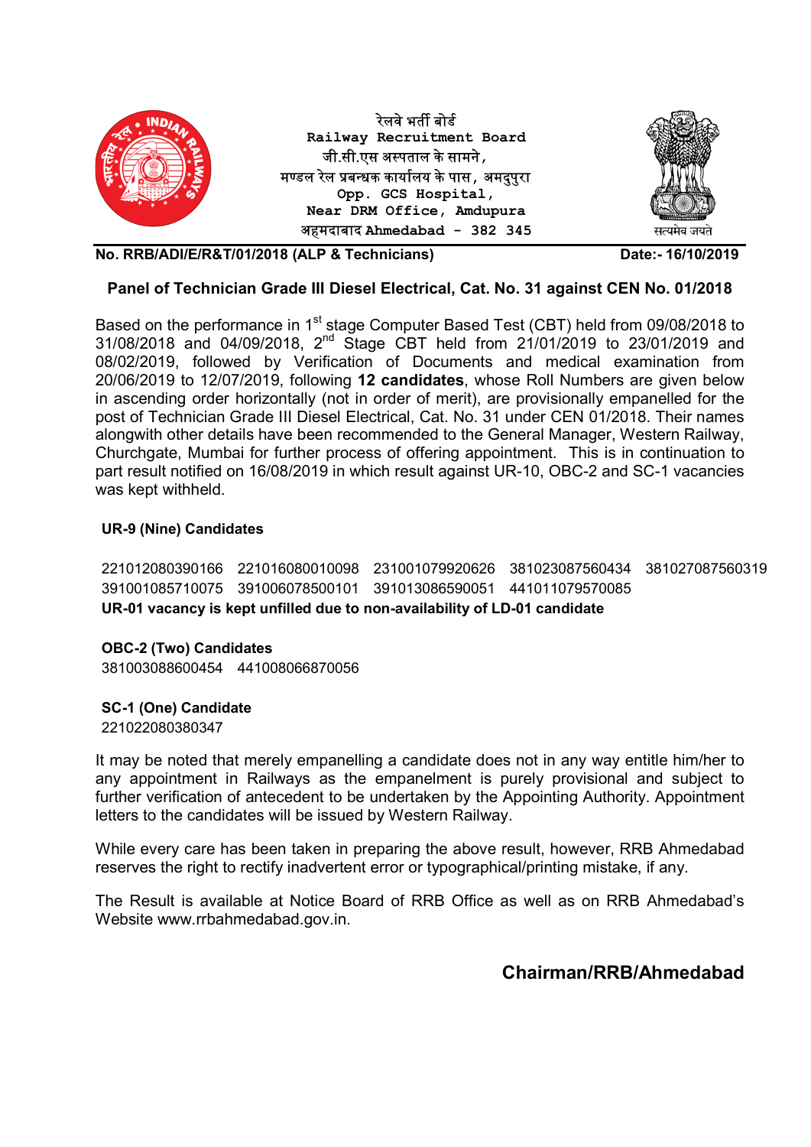

## Panel of Technician Grade III Diesel Electrical, Cat. No. 31 against CEN No. 01/2018

Based on the performance in 1<sup>st</sup> stage Computer Based Test (CBT) held from 09/08/2018 to 31/08/2018 and 04/09/2018, 2nd Stage CBT held from 21/01/2019 to 23/01/2019 and 08/02/2019, followed by Verification of Documents and medical examination from 20/06/2019 to 12/07/2019, following 12 candidates, whose Roll Numbers are given below in ascending order horizontally (not in order of merit), are provisionally empanelled for the post of Technician Grade III Diesel Electrical, Cat. No. 31 under CEN 01/2018. Their names alongwith other details have been recommended to the General Manager, Western Railway, Churchgate, Mumbai for further process of offering appointment. This is in continuation to part result notified on 16/08/2019 in which result against UR-10, OBC-2 and SC-1 vacancies was kept withheld.

## UR-9 (Nine) Candidates

221012080390166 221016080010098 231001079920626 381023087560434 381027087560319 391001085710075 391006078500101 391013086590051 441011079570085 UR-01 vacancy is kept unfilled due to non-availability of LD-01 candidate

OBC-2 (Two) Candidates 381003088600454 441008066870056

SC-1 (One) Candidate

221022080380347

It may be noted that merely empanelling a candidate does not in any way entitle him/her to any appointment in Railways as the empanelment is purely provisional and subject to further verification of antecedent to be undertaken by the Appointing Authority. Appointment letters to the candidates will be issued by Western Railway.

While every care has been taken in preparing the above result, however, RRB Ahmedabad reserves the right to rectify inadvertent error or typographical/printing mistake, if any.

The Result is available at Notice Board of RRB Office as well as on RRB Ahmedabad's Website www.rrbahmedabad.gov.in.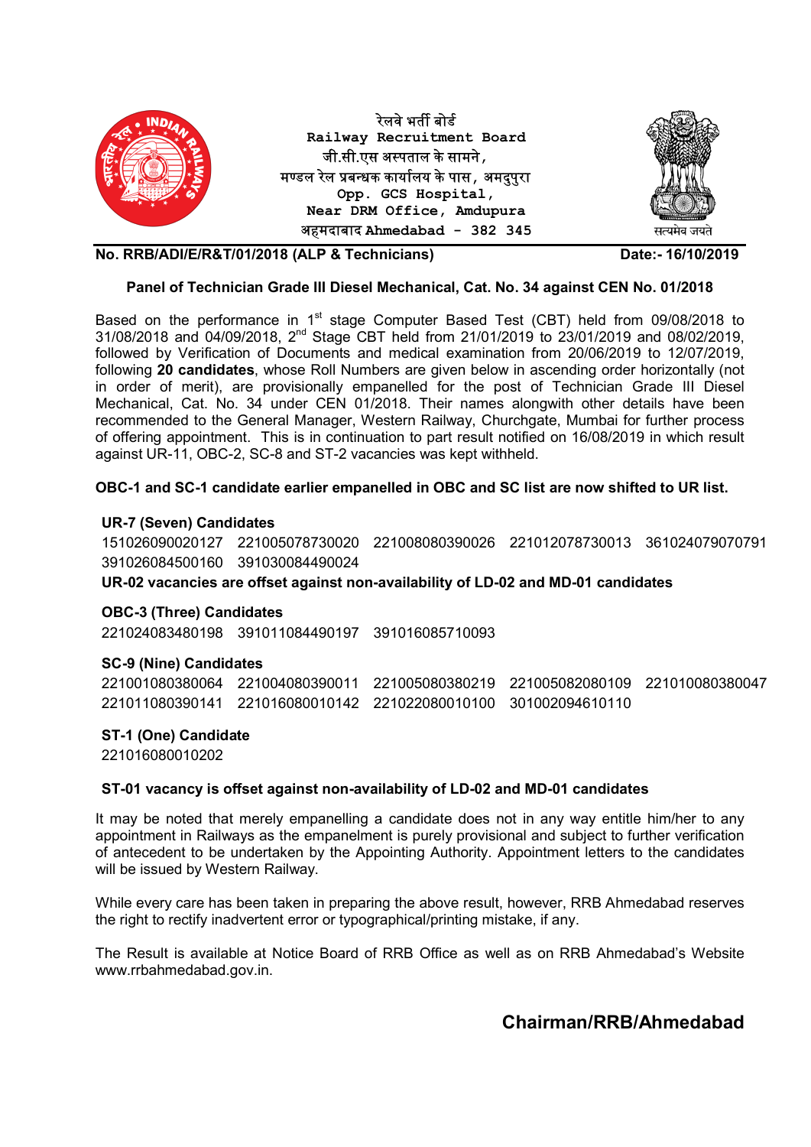

#### Panel of Technician Grade III Diesel Mechanical, Cat. No. 34 against CEN No. 01/2018

Based on the performance in 1<sup>st</sup> stage Computer Based Test (CBT) held from 09/08/2018 to 31/08/2018 and 04/09/2018, 2nd Stage CBT held from 21/01/2019 to 23/01/2019 and 08/02/2019, followed by Verification of Documents and medical examination from 20/06/2019 to 12/07/2019, following 20 candidates, whose Roll Numbers are given below in ascending order horizontally (not in order of merit), are provisionally empanelled for the post of Technician Grade III Diesel Mechanical, Cat. No. 34 under CEN 01/2018. Their names alongwith other details have been recommended to the General Manager, Western Railway, Churchgate, Mumbai for further process of offering appointment. This is in continuation to part result notified on 16/08/2019 in which result against UR-11, OBC-2, SC-8 and ST-2 vacancies was kept withheld.

### OBC-1 and SC-1 candidate earlier empanelled in OBC and SC list are now shifted to UR list.

#### UR-7 (Seven) Candidates

151026090020127 221005078730020 221008080390026 221012078730013 361024079070791 391026084500160 391030084490024 UR-02 vacancies are offset against non-availability of LD-02 and MD-01 candidates

#### OBC-3 (Three) Candidates

221024083480198 391011084490197 391016085710093

#### SC-9 (Nine) Candidates

221001080380064 221004080390011 221005080380219 221005082080109 221010080380047 221011080390141 221016080010142 221022080010100 301002094610110

#### ST-1 (One) Candidate

221016080010202

#### ST-01 vacancy is offset against non-availability of LD-02 and MD-01 candidates

It may be noted that merely empanelling a candidate does not in any way entitle him/her to any appointment in Railways as the empanelment is purely provisional and subject to further verification of antecedent to be undertaken by the Appointing Authority. Appointment letters to the candidates will be issued by Western Railway.

While every care has been taken in preparing the above result, however, RRB Ahmedabad reserves the right to rectify inadvertent error or typographical/printing mistake, if any.

The Result is available at Notice Board of RRB Office as well as on RRB Ahmedabad's Website www.rrbahmedabad.gov.in.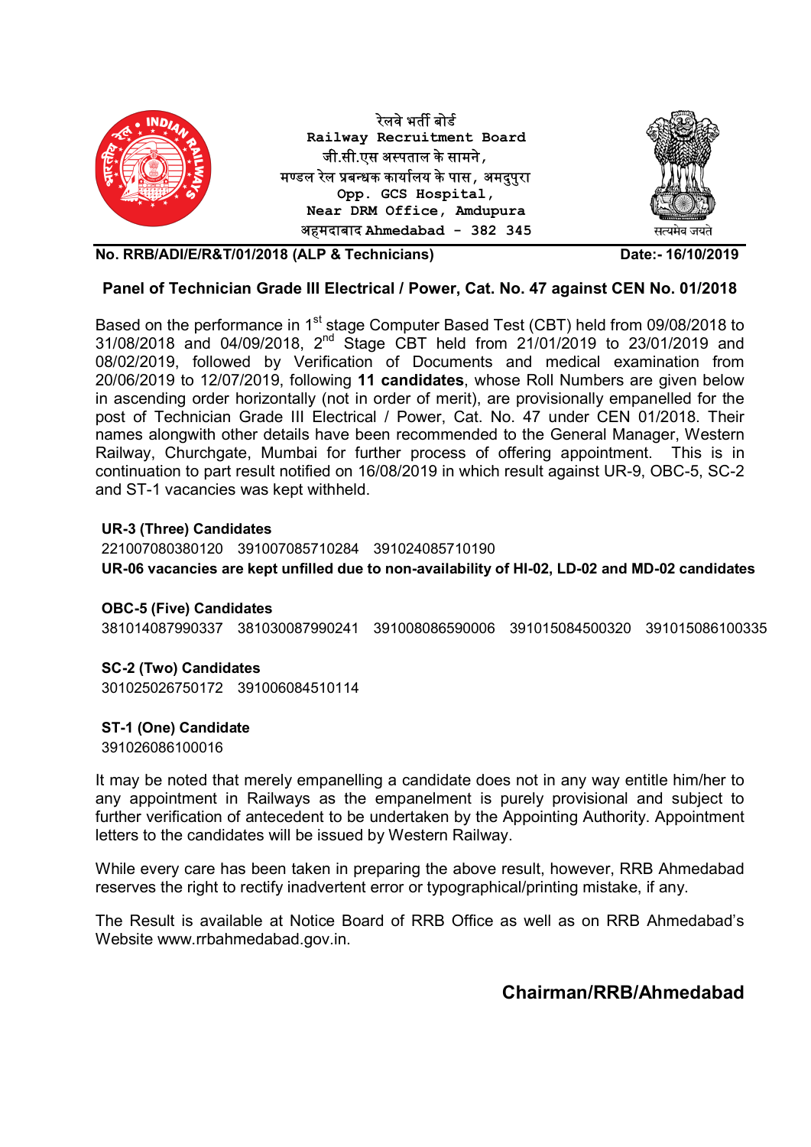

## Panel of Technician Grade III Electrical / Power, Cat. No. 47 against CEN No. 01/2018

Based on the performance in 1<sup>st</sup> stage Computer Based Test (CBT) held from 09/08/2018 to 31/08/2018 and 04/09/2018, 2nd Stage CBT held from 21/01/2019 to 23/01/2019 and 08/02/2019, followed by Verification of Documents and medical examination from 20/06/2019 to 12/07/2019, following 11 candidates, whose Roll Numbers are given below in ascending order horizontally (not in order of merit), are provisionally empanelled for the post of Technician Grade III Electrical / Power, Cat. No. 47 under CEN 01/2018. Their names alongwith other details have been recommended to the General Manager, Western Railway, Churchgate, Mumbai for further process of offering appointment. This is in continuation to part result notified on 16/08/2019 in which result against UR-9, OBC-5, SC-2 and ST-1 vacancies was kept withheld.

## UR-3 (Three) Candidates

221007080380120 391007085710284 391024085710190 UR-06 vacancies are kept unfilled due to non-availability of HI-02, LD-02 and MD-02 candidates

## OBC-5 (Five) Candidates

381014087990337 381030087990241 391008086590006 391015084500320 391015086100335

## SC-2 (Two) Candidates

301025026750172 391006084510114

## ST-1 (One) Candidate

391026086100016

It may be noted that merely empanelling a candidate does not in any way entitle him/her to any appointment in Railways as the empanelment is purely provisional and subject to further verification of antecedent to be undertaken by the Appointing Authority. Appointment letters to the candidates will be issued by Western Railway.

While every care has been taken in preparing the above result, however, RRB Ahmedabad reserves the right to rectify inadvertent error or typographical/printing mistake, if any.

The Result is available at Notice Board of RRB Office as well as on RRB Ahmedabad's Website www.rrbahmedabad.gov.in.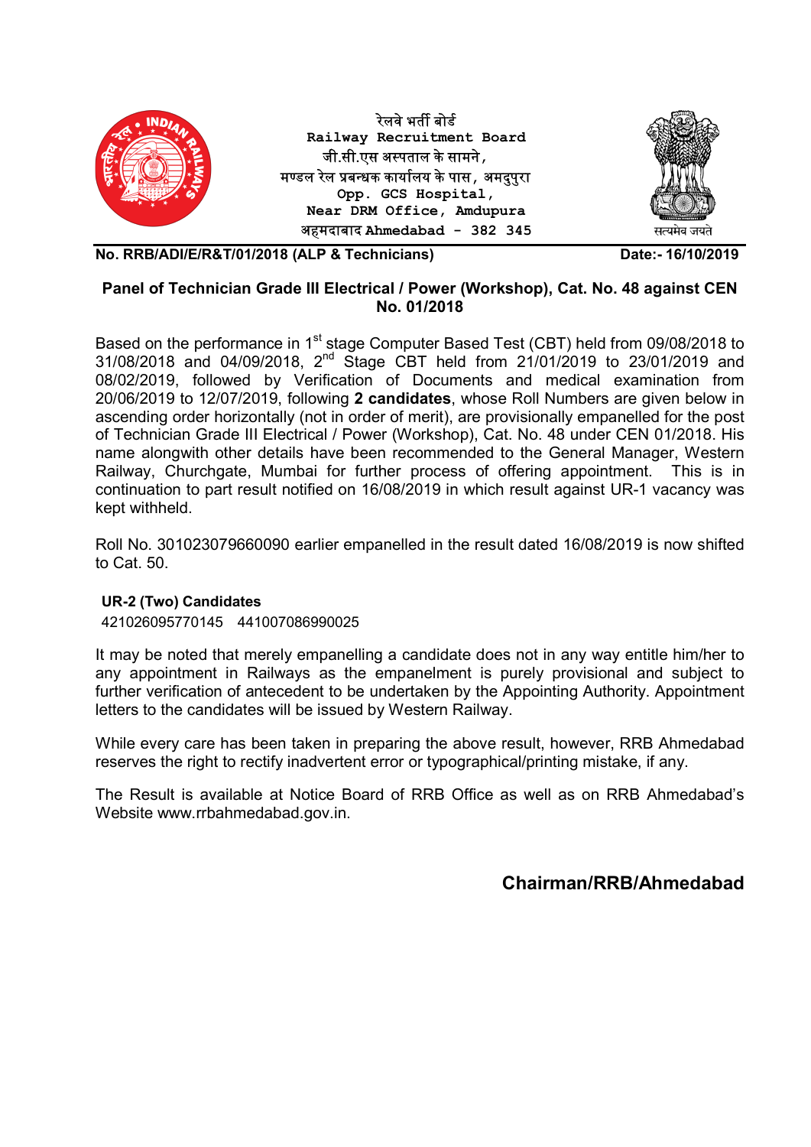

## Panel of Technician Grade III Electrical / Power (Workshop), Cat. No. 48 against CEN No. 01/2018

Based on the performance in 1<sup>st</sup> stage Computer Based Test (CBT) held from 09/08/2018 to 31/08/2018 and 04/09/2018, 2<sup>nd</sup> Stage CBT held from 21/01/2019 to 23/01/2019 and 08/02/2019, followed by Verification of Documents and medical examination from 20/06/2019 to 12/07/2019, following 2 candidates, whose Roll Numbers are given below in ascending order horizontally (not in order of merit), are provisionally empanelled for the post of Technician Grade III Electrical / Power (Workshop), Cat. No. 48 under CEN 01/2018. His name alongwith other details have been recommended to the General Manager, Western Railway, Churchgate, Mumbai for further process of offering appointment. This is in continuation to part result notified on 16/08/2019 in which result against UR-1 vacancy was kept withheld.

Roll No. 301023079660090 earlier empanelled in the result dated 16/08/2019 is now shifted to Cat. 50.

## UR-2 (Two) Candidates

421026095770145 441007086990025

It may be noted that merely empanelling a candidate does not in any way entitle him/her to any appointment in Railways as the empanelment is purely provisional and subject to further verification of antecedent to be undertaken by the Appointing Authority. Appointment letters to the candidates will be issued by Western Railway.

While every care has been taken in preparing the above result, however, RRB Ahmedabad reserves the right to rectify inadvertent error or typographical/printing mistake, if any.

The Result is available at Notice Board of RRB Office as well as on RRB Ahmedabad's Website www.rrbahmedabad.gov.in.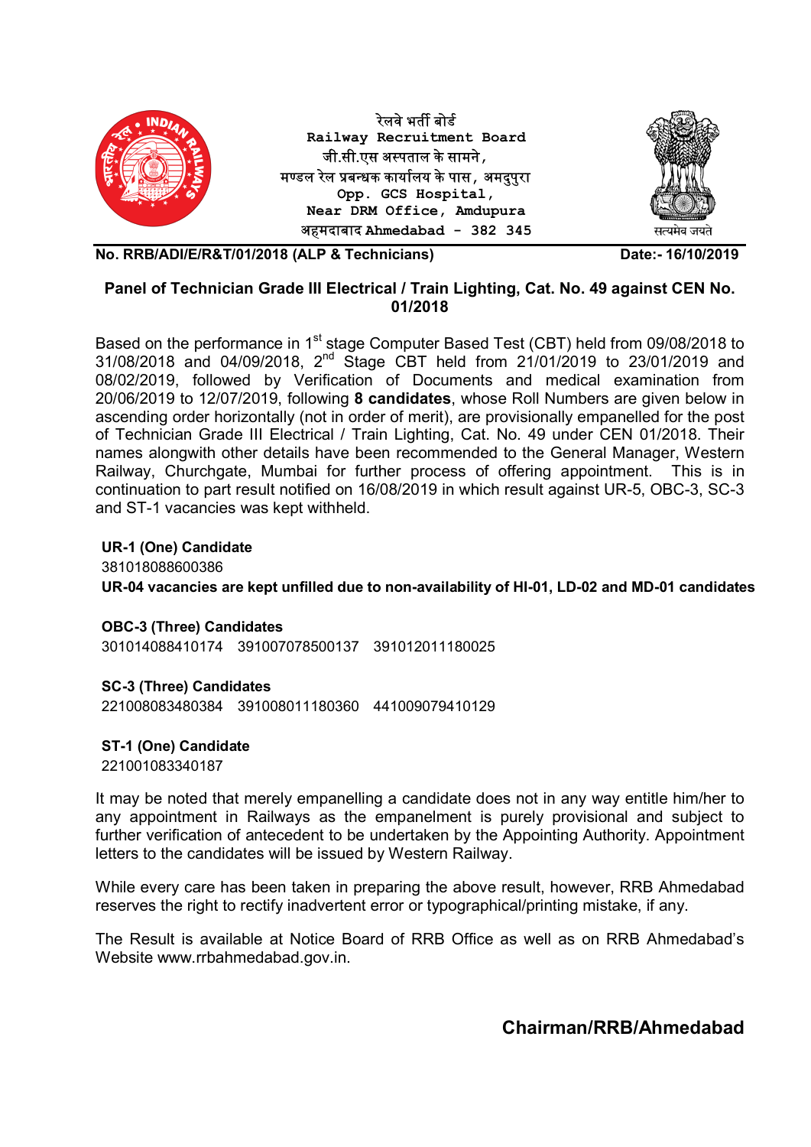

## Panel of Technician Grade III Electrical / Train Lighting, Cat. No. 49 against CEN No. 01/2018

Based on the performance in 1<sup>st</sup> stage Computer Based Test (CBT) held from 09/08/2018 to 31/08/2018 and 04/09/2018, 2<sup>nd</sup> Stage CBT held from 21/01/2019 to 23/01/2019 and 08/02/2019, followed by Verification of Documents and medical examination from 20/06/2019 to 12/07/2019, following 8 candidates, whose Roll Numbers are given below in ascending order horizontally (not in order of merit), are provisionally empanelled for the post of Technician Grade III Electrical / Train Lighting, Cat. No. 49 under CEN 01/2018. Their names alongwith other details have been recommended to the General Manager, Western Railway, Churchgate, Mumbai for further process of offering appointment. This is in continuation to part result notified on 16/08/2019 in which result against UR-5, OBC-3, SC-3 and ST-1 vacancies was kept withheld.

UR-1 (One) Candidate 381018088600386 UR-04 vacancies are kept unfilled due to non-availability of HI-01, LD-02 and MD-01 candidates

OBC-3 (Three) Candidates

301014088410174 391007078500137 391012011180025

## SC-3 (Three) Candidates

221008083480384 391008011180360 441009079410129

## ST-1 (One) Candidate

221001083340187

It may be noted that merely empanelling a candidate does not in any way entitle him/her to any appointment in Railways as the empanelment is purely provisional and subject to further verification of antecedent to be undertaken by the Appointing Authority. Appointment letters to the candidates will be issued by Western Railway.

While every care has been taken in preparing the above result, however, RRB Ahmedabad reserves the right to rectify inadvertent error or typographical/printing mistake, if any.

The Result is available at Notice Board of RRB Office as well as on RRB Ahmedabad's Website www.rrbahmedabad.gov.in.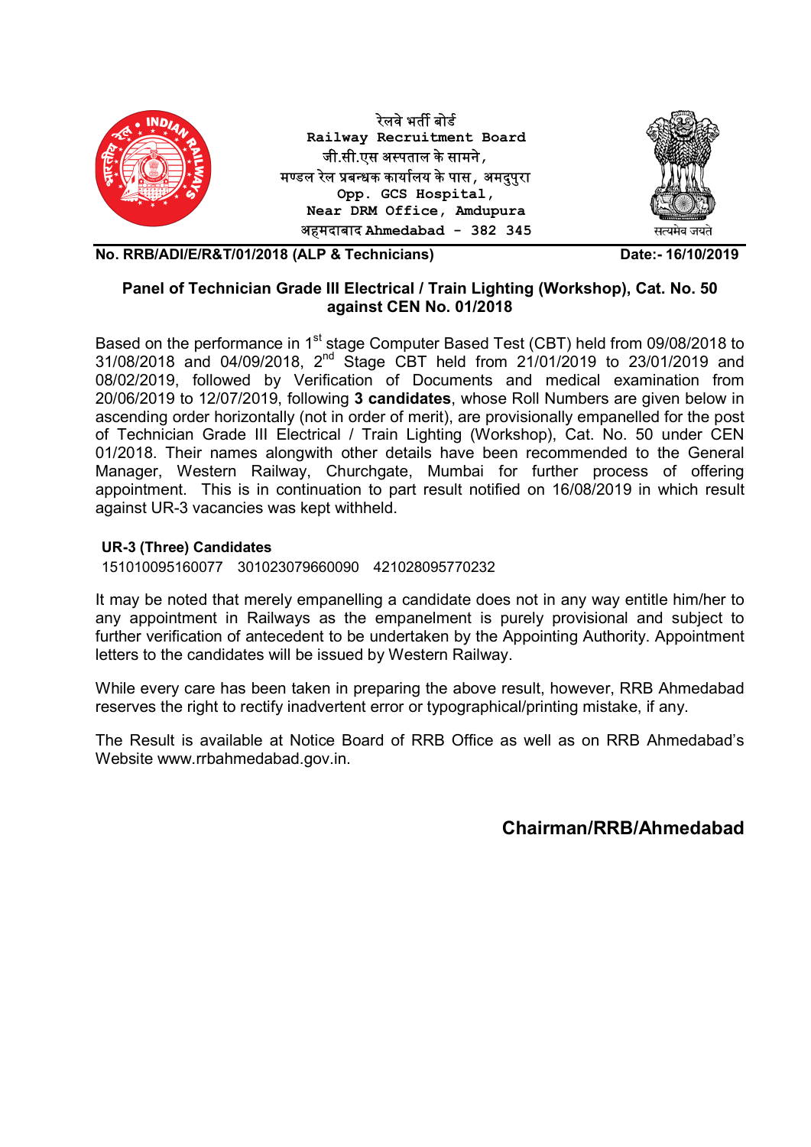

## Panel of Technician Grade III Electrical / Train Lighting (Workshop), Cat. No. 50 against CEN No. 01/2018

Based on the performance in 1<sup>st</sup> stage Computer Based Test (CBT) held from 09/08/2018 to 31/08/2018 and 04/09/2018, 2nd Stage CBT held from 21/01/2019 to 23/01/2019 and 08/02/2019, followed by Verification of Documents and medical examination from 20/06/2019 to 12/07/2019, following 3 candidates, whose Roll Numbers are given below in ascending order horizontally (not in order of merit), are provisionally empanelled for the post of Technician Grade III Electrical / Train Lighting (Workshop), Cat. No. 50 under CEN 01/2018. Their names alongwith other details have been recommended to the General Manager, Western Railway, Churchgate, Mumbai for further process of offering appointment. This is in continuation to part result notified on 16/08/2019 in which result against UR-3 vacancies was kept withheld.

## UR-3 (Three) Candidates

151010095160077 301023079660090 421028095770232

It may be noted that merely empanelling a candidate does not in any way entitle him/her to any appointment in Railways as the empanelment is purely provisional and subject to further verification of antecedent to be undertaken by the Appointing Authority. Appointment letters to the candidates will be issued by Western Railway.

While every care has been taken in preparing the above result, however, RRB Ahmedabad reserves the right to rectify inadvertent error or typographical/printing mistake, if any.

The Result is available at Notice Board of RRB Office as well as on RRB Ahmedabad's Website www.rrbahmedabad.gov.in.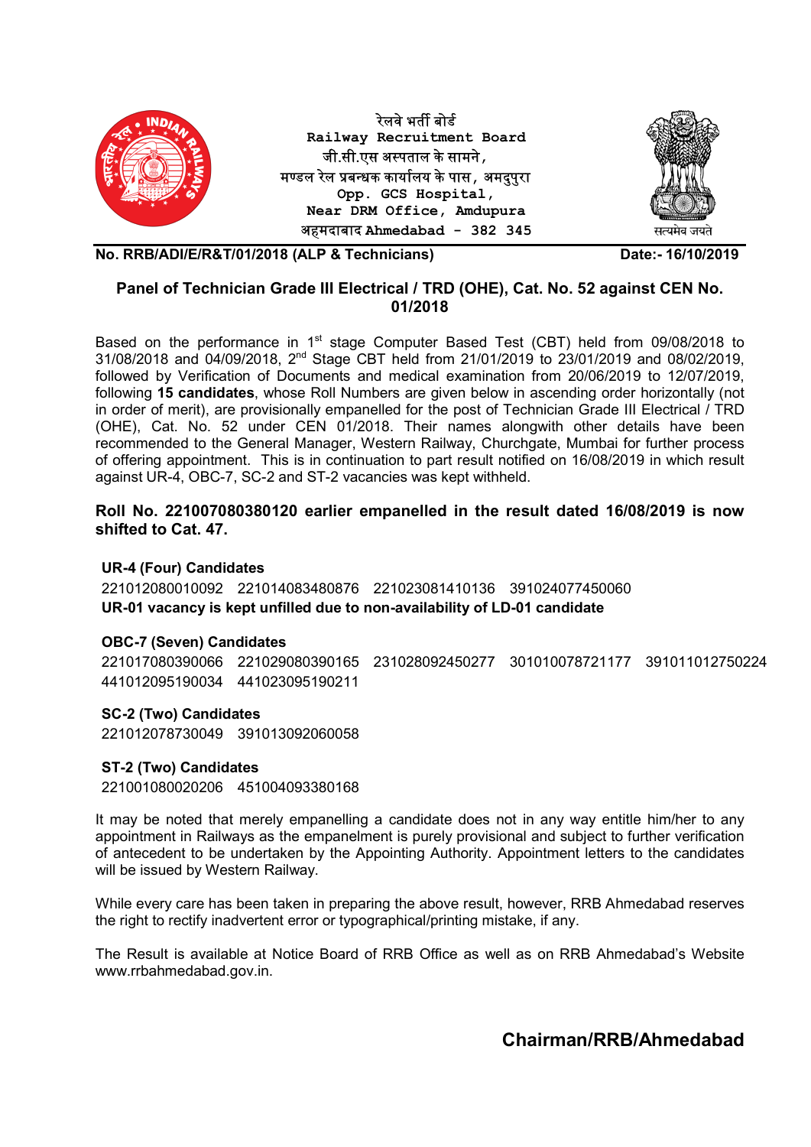

## Panel of Technician Grade III Electrical / TRD (OHE), Cat. No. 52 against CEN No. 01/2018

Based on the performance in 1<sup>st</sup> stage Computer Based Test (CBT) held from 09/08/2018 to 31/08/2018 and 04/09/2018, 2nd Stage CBT held from 21/01/2019 to 23/01/2019 and 08/02/2019, followed by Verification of Documents and medical examination from 20/06/2019 to 12/07/2019, following 15 candidates, whose Roll Numbers are given below in ascending order horizontally (not in order of merit), are provisionally empanelled for the post of Technician Grade III Electrical / TRD (OHE), Cat. No. 52 under CEN 01/2018. Their names alongwith other details have been recommended to the General Manager, Western Railway, Churchgate, Mumbai for further process of offering appointment. This is in continuation to part result notified on 16/08/2019 in which result against UR-4, OBC-7, SC-2 and ST-2 vacancies was kept withheld.

## Roll No. 221007080380120 earlier empanelled in the result dated 16/08/2019 is now shifted to Cat. 47.

## UR-4 (Four) Candidates

221012080010092 221014083480876 221023081410136 391024077450060 UR-01 vacancy is kept unfilled due to non-availability of LD-01 candidate

#### OBC-7 (Seven) Candidates

221017080390066 221029080390165 231028092450277 301010078721177 391011012750224 441012095190034 441023095190211

## SC-2 (Two) Candidates

221012078730049 391013092060058

### ST-2 (Two) Candidates

221001080020206 451004093380168

It may be noted that merely empanelling a candidate does not in any way entitle him/her to any appointment in Railways as the empanelment is purely provisional and subject to further verification of antecedent to be undertaken by the Appointing Authority. Appointment letters to the candidates will be issued by Western Railway.

While every care has been taken in preparing the above result, however, RRB Ahmedabad reserves the right to rectify inadvertent error or typographical/printing mistake, if any.

The Result is available at Notice Board of RRB Office as well as on RRB Ahmedabad's Website www.rrbahmedabad.gov.in.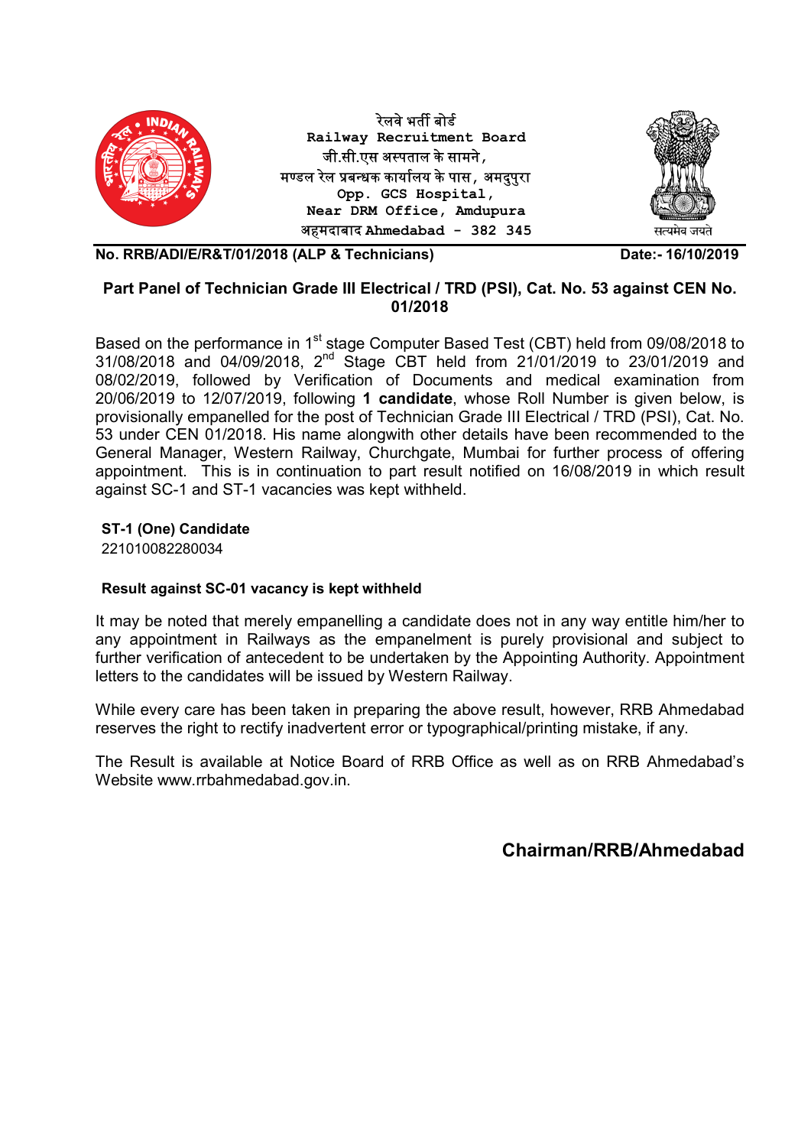

## Part Panel of Technician Grade III Electrical / TRD (PSI), Cat. No. 53 against CEN No. 01/2018

Based on the performance in 1<sup>st</sup> stage Computer Based Test (CBT) held from 09/08/2018 to 31/08/2018 and 04/09/2018, 2<sup>nd</sup> Stage CBT held from 21/01/2019 to 23/01/2019 and 08/02/2019, followed by Verification of Documents and medical examination from 20/06/2019 to 12/07/2019, following 1 candidate, whose Roll Number is given below, is provisionally empanelled for the post of Technician Grade III Electrical / TRD (PSI), Cat. No. 53 under CEN 01/2018. His name alongwith other details have been recommended to the General Manager, Western Railway, Churchgate, Mumbai for further process of offering appointment. This is in continuation to part result notified on 16/08/2019 in which result against SC-1 and ST-1 vacancies was kept withheld.

## ST-1 (One) Candidate

221010082280034

## Result against SC-01 vacancy is kept withheld

It may be noted that merely empanelling a candidate does not in any way entitle him/her to any appointment in Railways as the empanelment is purely provisional and subject to further verification of antecedent to be undertaken by the Appointing Authority. Appointment letters to the candidates will be issued by Western Railway.

While every care has been taken in preparing the above result, however, RRB Ahmedabad reserves the right to rectify inadvertent error or typographical/printing mistake, if any.

The Result is available at Notice Board of RRB Office as well as on RRB Ahmedabad's Website www.rrbahmedabad.gov.in.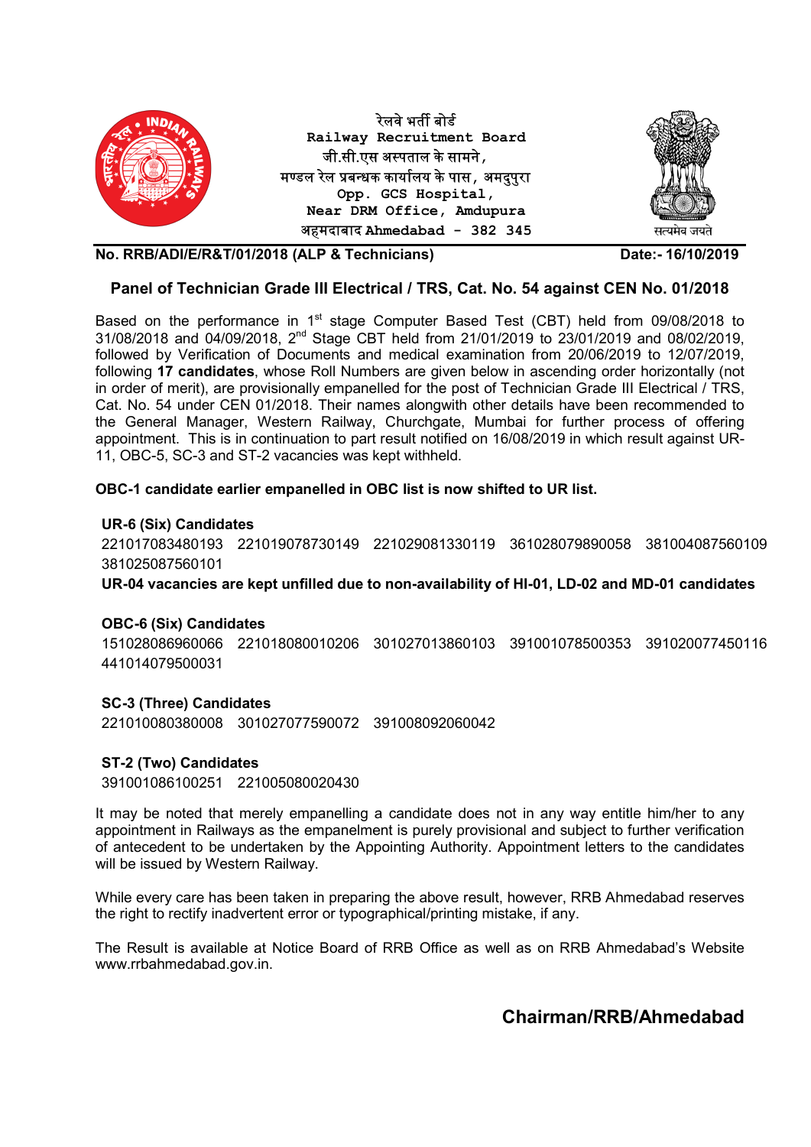

### Panel of Technician Grade III Electrical / TRS, Cat. No. 54 against CEN No. 01/2018

Based on the performance in 1<sup>st</sup> stage Computer Based Test (CBT) held from 09/08/2018 to 31/08/2018 and 04/09/2018, 2nd Stage CBT held from 21/01/2019 to 23/01/2019 and 08/02/2019, followed by Verification of Documents and medical examination from 20/06/2019 to 12/07/2019, following 17 candidates, whose Roll Numbers are given below in ascending order horizontally (not in order of merit), are provisionally empanelled for the post of Technician Grade III Electrical / TRS, Cat. No. 54 under CEN 01/2018. Their names alongwith other details have been recommended to the General Manager, Western Railway, Churchgate, Mumbai for further process of offering appointment. This is in continuation to part result notified on 16/08/2019 in which result against UR-11, OBC-5, SC-3 and ST-2 vacancies was kept withheld.

### OBC-1 candidate earlier empanelled in OBC list is now shifted to UR list.

#### UR-6 (Six) Candidates

221017083480193 221019078730149 221029081330119 361028079890058 381004087560109 381025087560101

UR-04 vacancies are kept unfilled due to non-availability of HI-01, LD-02 and MD-01 candidates

#### OBC-6 (Six) Candidates

151028086960066 221018080010206 301027013860103 391001078500353 391020077450116 441014079500031

#### SC-3 (Three) Candidates

221010080380008 301027077590072 391008092060042

#### ST-2 (Two) Candidates

391001086100251 221005080020430

It may be noted that merely empanelling a candidate does not in any way entitle him/her to any appointment in Railways as the empanelment is purely provisional and subject to further verification of antecedent to be undertaken by the Appointing Authority. Appointment letters to the candidates will be issued by Western Railway.

While every care has been taken in preparing the above result, however, RRB Ahmedabad reserves the right to rectify inadvertent error or typographical/printing mistake, if any.

The Result is available at Notice Board of RRB Office as well as on RRB Ahmedabad's Website www.rrbahmedabad.gov.in.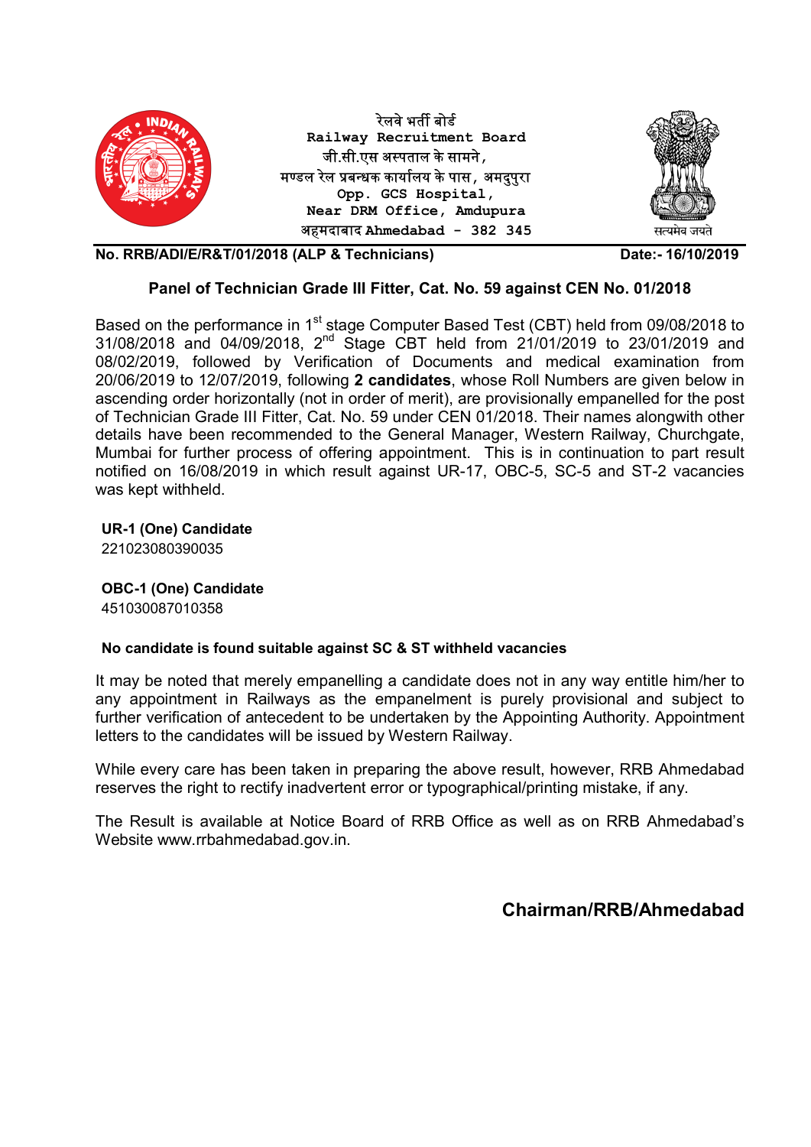

## Panel of Technician Grade III Fitter, Cat. No. 59 against CEN No. 01/2018

Based on the performance in 1<sup>st</sup> stage Computer Based Test (CBT) held from 09/08/2018 to 31/08/2018 and 04/09/2018, 2nd Stage CBT held from 21/01/2019 to 23/01/2019 and 08/02/2019, followed by Verification of Documents and medical examination from 20/06/2019 to 12/07/2019, following 2 candidates, whose Roll Numbers are given below in ascending order horizontally (not in order of merit), are provisionally empanelled for the post of Technician Grade III Fitter, Cat. No. 59 under CEN 01/2018. Their names alongwith other details have been recommended to the General Manager, Western Railway, Churchgate, Mumbai for further process of offering appointment. This is in continuation to part result notified on 16/08/2019 in which result against UR-17, OBC-5, SC-5 and ST-2 vacancies was kept withheld.

UR-1 (One) Candidate

221023080390035

OBC-1 (One) Candidate 451030087010358

## No candidate is found suitable against SC & ST withheld vacancies

It may be noted that merely empanelling a candidate does not in any way entitle him/her to any appointment in Railways as the empanelment is purely provisional and subject to further verification of antecedent to be undertaken by the Appointing Authority. Appointment letters to the candidates will be issued by Western Railway.

While every care has been taken in preparing the above result, however, RRB Ahmedabad reserves the right to rectify inadvertent error or typographical/printing mistake, if any.

The Result is available at Notice Board of RRB Office as well as on RRB Ahmedabad's Website www.rrbahmedabad.gov.in.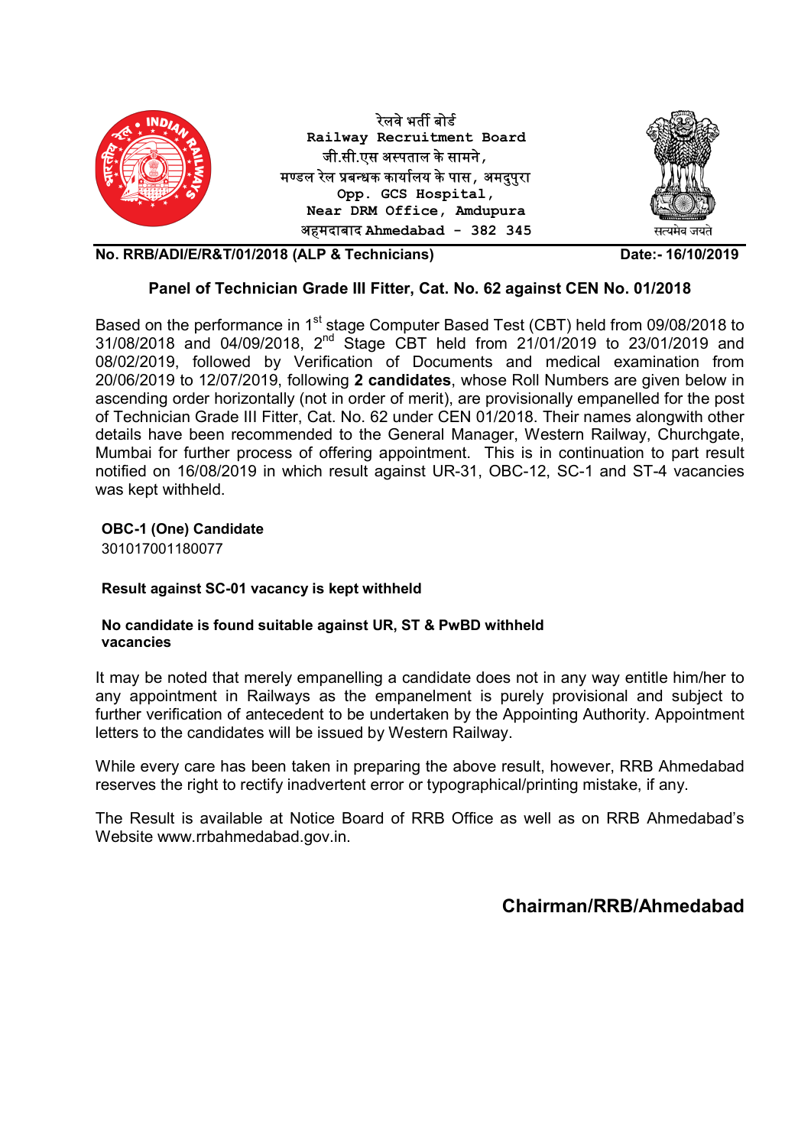

## Panel of Technician Grade III Fitter, Cat. No. 62 against CEN No. 01/2018

Based on the performance in 1<sup>st</sup> stage Computer Based Test (CBT) held from 09/08/2018 to 31/08/2018 and 04/09/2018, 2nd Stage CBT held from 21/01/2019 to 23/01/2019 and 08/02/2019, followed by Verification of Documents and medical examination from 20/06/2019 to 12/07/2019, following 2 candidates, whose Roll Numbers are given below in ascending order horizontally (not in order of merit), are provisionally empanelled for the post of Technician Grade III Fitter, Cat. No. 62 under CEN 01/2018. Their names alongwith other details have been recommended to the General Manager, Western Railway, Churchgate, Mumbai for further process of offering appointment. This is in continuation to part result notified on 16/08/2019 in which result against UR-31, OBC-12, SC-1 and ST-4 vacancies was kept withheld.

## OBC-1 (One) Candidate

301017001180077

## Result against SC-01 vacancy is kept withheld

### No candidate is found suitable against UR, ST & PwBD withheld vacancies

It may be noted that merely empanelling a candidate does not in any way entitle him/her to any appointment in Railways as the empanelment is purely provisional and subject to further verification of antecedent to be undertaken by the Appointing Authority. Appointment letters to the candidates will be issued by Western Railway.

While every care has been taken in preparing the above result, however, RRB Ahmedabad reserves the right to rectify inadvertent error or typographical/printing mistake, if any.

The Result is available at Notice Board of RRB Office as well as on RRB Ahmedabad's Website www.rrbahmedabad.gov.in.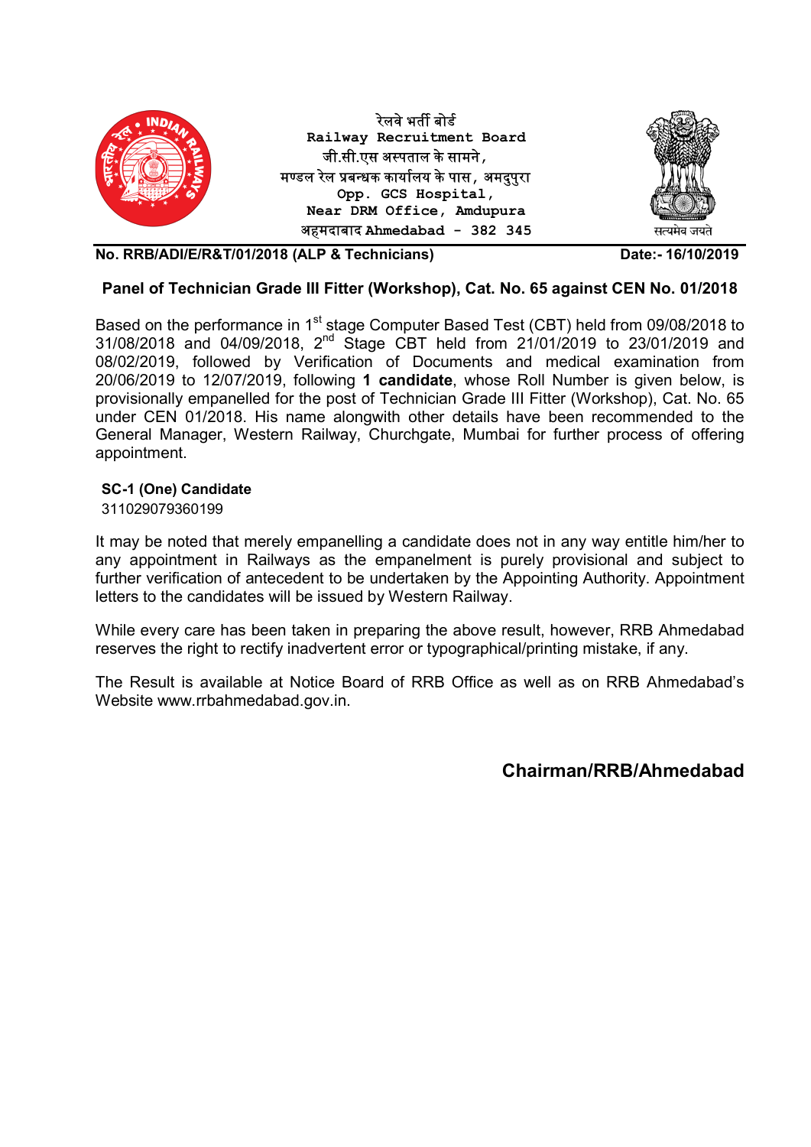

## Panel of Technician Grade III Fitter (Workshop), Cat. No. 65 against CEN No. 01/2018

Based on the performance in 1<sup>st</sup> stage Computer Based Test (CBT) held from 09/08/2018 to 31/08/2018 and 04/09/2018, 2nd Stage CBT held from 21/01/2019 to 23/01/2019 and 08/02/2019, followed by Verification of Documents and medical examination from 20/06/2019 to 12/07/2019, following 1 candidate, whose Roll Number is given below, is provisionally empanelled for the post of Technician Grade III Fitter (Workshop), Cat. No. 65 under CEN 01/2018. His name alongwith other details have been recommended to the General Manager, Western Railway, Churchgate, Mumbai for further process of offering appointment.

## SC-1 (One) Candidate

311029079360199

It may be noted that merely empanelling a candidate does not in any way entitle him/her to any appointment in Railways as the empanelment is purely provisional and subject to further verification of antecedent to be undertaken by the Appointing Authority. Appointment letters to the candidates will be issued by Western Railway.

While every care has been taken in preparing the above result, however, RRB Ahmedabad reserves the right to rectify inadvertent error or typographical/printing mistake, if any.

The Result is available at Notice Board of RRB Office as well as on RRB Ahmedabad's Website www.rrbahmedabad.gov.in.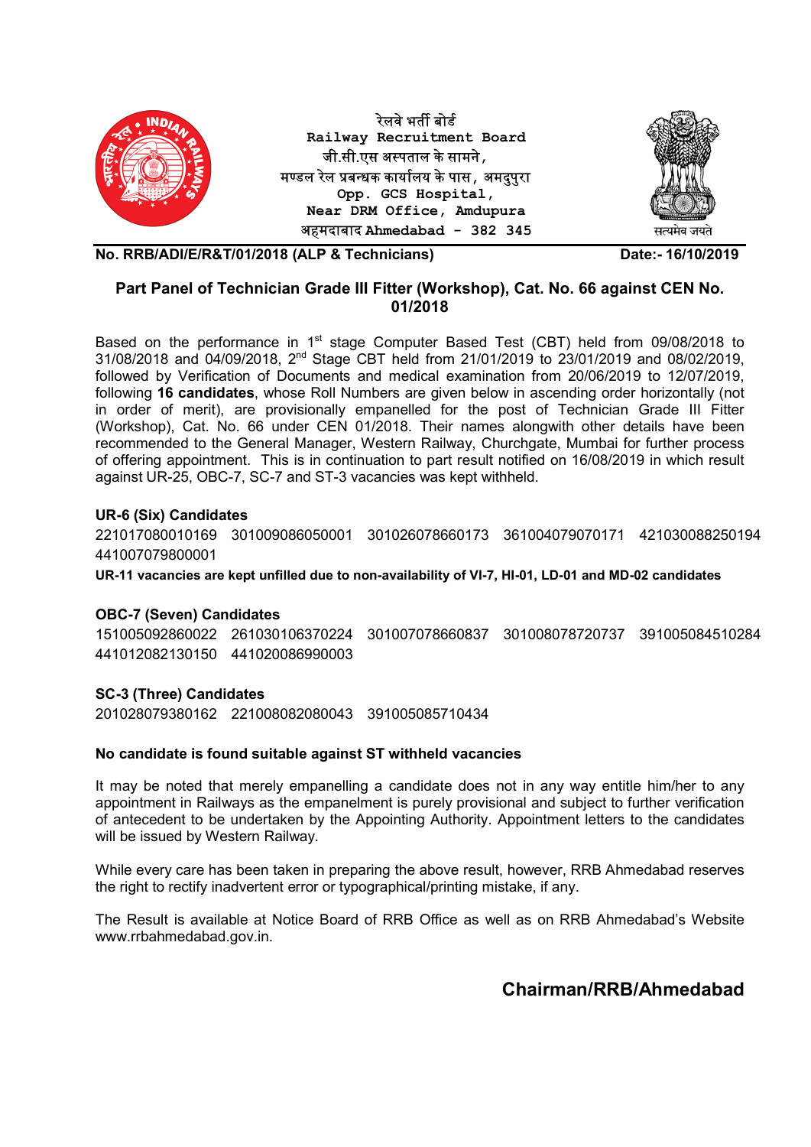

## Part Panel of Technician Grade III Fitter (Workshop), Cat. No. 66 against CEN No. 01/2018

Based on the performance in 1<sup>st</sup> stage Computer Based Test (CBT) held from 09/08/2018 to 31/08/2018 and 04/09/2018, 2nd Stage CBT held from 21/01/2019 to 23/01/2019 and 08/02/2019, followed by Verification of Documents and medical examination from 20/06/2019 to 12/07/2019, following 16 candidates, whose Roll Numbers are given below in ascending order horizontally (not in order of merit), are provisionally empanelled for the post of Technician Grade III Fitter (Workshop), Cat. No. 66 under CEN 01/2018. Their names alongwith other details have been recommended to the General Manager, Western Railway, Churchgate, Mumbai for further process of offering appointment. This is in continuation to part result notified on 16/08/2019 in which result against UR-25, OBC-7, SC-7 and ST-3 vacancies was kept withheld.

## UR-6 (Six) Candidates

221017080010169 301009086050001 301026078660173 361004079070171 421030088250194 441007079800001

UR-11 vacancies are kept unfilled due to non-availability of VI-7, HI-01, LD-01 and MD-02 candidates

#### OBC-7 (Seven) Candidates

151005092860022 261030106370224 301007078660837 301008078720737 391005084510284 441012082130150 441020086990003

#### SC-3 (Three) Candidates

201028079380162 221008082080043 391005085710434

#### No candidate is found suitable against ST withheld vacancies

It may be noted that merely empanelling a candidate does not in any way entitle him/her to any appointment in Railways as the empanelment is purely provisional and subject to further verification of antecedent to be undertaken by the Appointing Authority. Appointment letters to the candidates will be issued by Western Railway.

While every care has been taken in preparing the above result, however, RRB Ahmedabad reserves the right to rectify inadvertent error or typographical/printing mistake, if any.

The Result is available at Notice Board of RRB Office as well as on RRB Ahmedabad's Website www.rrbahmedabad.gov.in.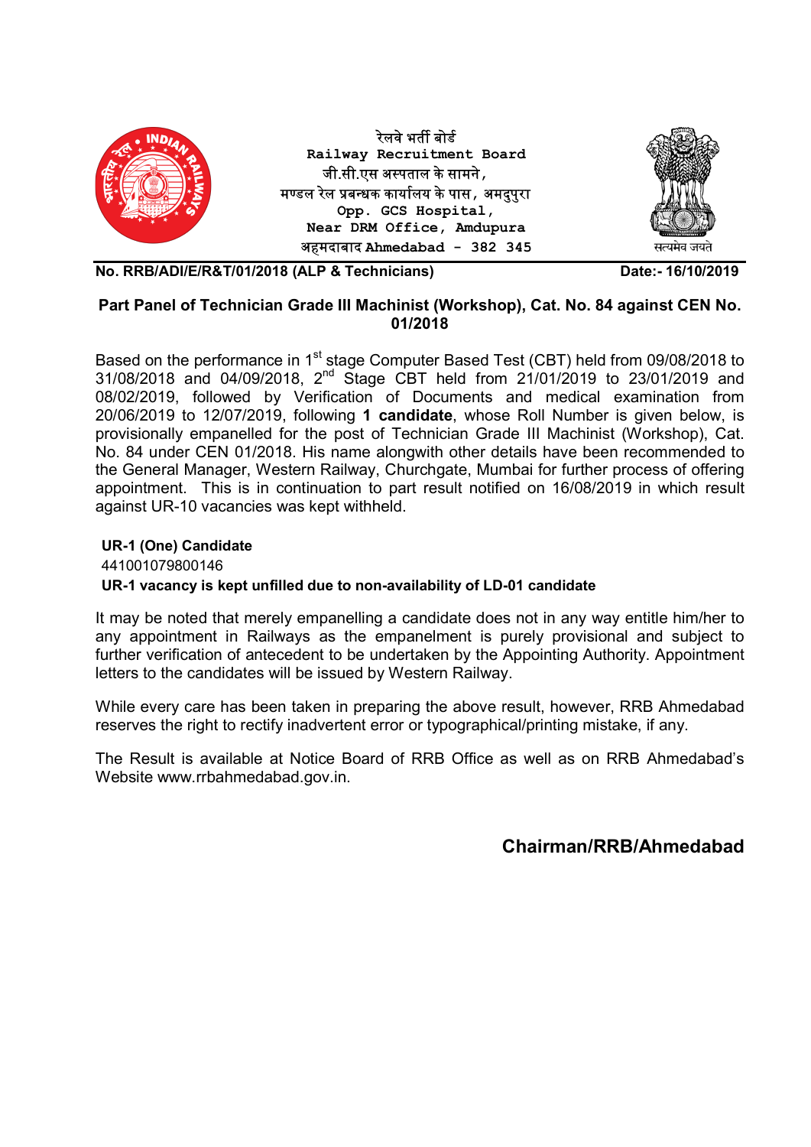

## Part Panel of Technician Grade III Machinist (Workshop), Cat. No. 84 against CEN No. 01/2018

Based on the performance in 1<sup>st</sup> stage Computer Based Test (CBT) held from 09/08/2018 to 31/08/2018 and 04/09/2018, 2nd Stage CBT held from 21/01/2019 to 23/01/2019 and 08/02/2019, followed by Verification of Documents and medical examination from 20/06/2019 to 12/07/2019, following 1 candidate, whose Roll Number is given below, is provisionally empanelled for the post of Technician Grade III Machinist (Workshop), Cat. No. 84 under CEN 01/2018. His name alongwith other details have been recommended to the General Manager, Western Railway, Churchgate, Mumbai for further process of offering appointment. This is in continuation to part result notified on 16/08/2019 in which result against UR-10 vacancies was kept withheld.

## UR-1 (One) Candidate

441001079800146

## UR-1 vacancy is kept unfilled due to non-availability of LD-01 candidate

It may be noted that merely empanelling a candidate does not in any way entitle him/her to any appointment in Railways as the empanelment is purely provisional and subject to further verification of antecedent to be undertaken by the Appointing Authority. Appointment letters to the candidates will be issued by Western Railway.

While every care has been taken in preparing the above result, however, RRB Ahmedabad reserves the right to rectify inadvertent error or typographical/printing mistake, if any.

The Result is available at Notice Board of RRB Office as well as on RRB Ahmedabad's Website www.rrbahmedabad.gov.in.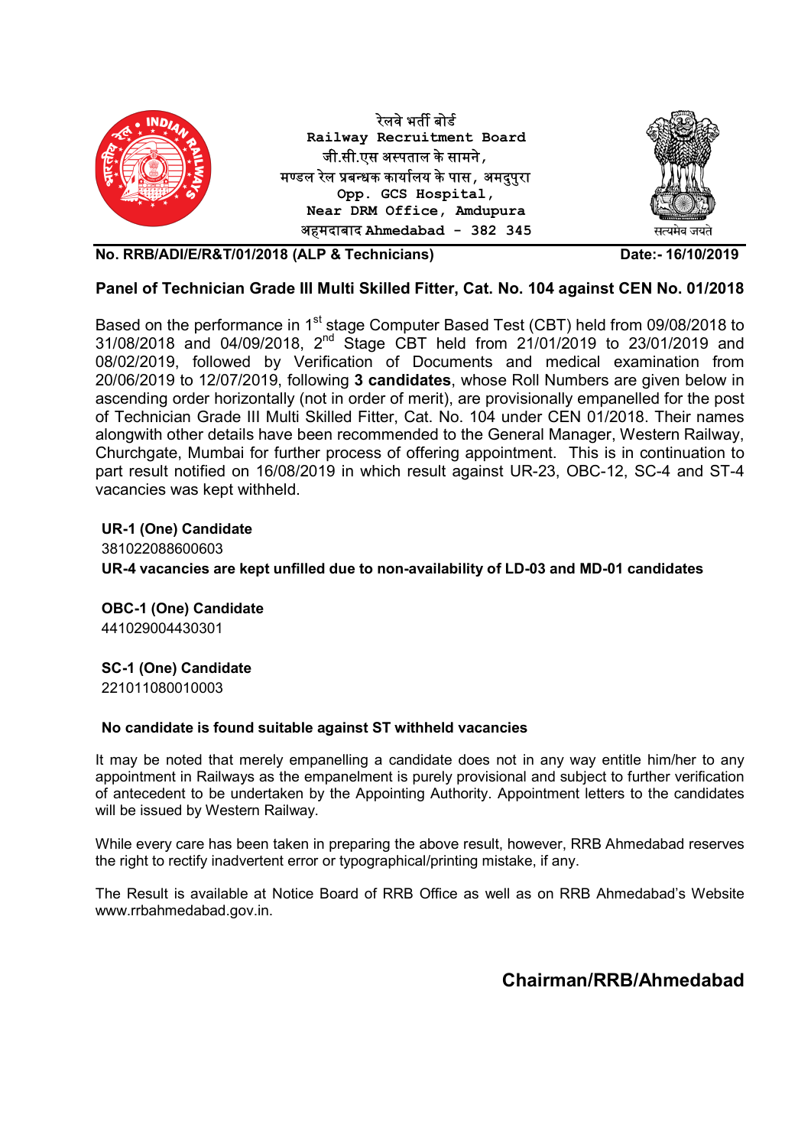

## Panel of Technician Grade III Multi Skilled Fitter, Cat. No. 104 against CEN No. 01/2018

Based on the performance in 1<sup>st</sup> stage Computer Based Test (CBT) held from 09/08/2018 to 31/08/2018 and 04/09/2018, 2nd Stage CBT held from 21/01/2019 to 23/01/2019 and 08/02/2019, followed by Verification of Documents and medical examination from 20/06/2019 to 12/07/2019, following 3 candidates, whose Roll Numbers are given below in ascending order horizontally (not in order of merit), are provisionally empanelled for the post of Technician Grade III Multi Skilled Fitter, Cat. No. 104 under CEN 01/2018. Their names alongwith other details have been recommended to the General Manager, Western Railway, Churchgate, Mumbai for further process of offering appointment. This is in continuation to part result notified on 16/08/2019 in which result against UR-23, OBC-12, SC-4 and ST-4 vacancies was kept withheld.

UR-1 (One) Candidate 381022088600603 UR-4 vacancies are kept unfilled due to non-availability of LD-03 and MD-01 candidates

OBC-1 (One) Candidate 441029004430301

## SC-1 (One) Candidate

221011080010003

#### No candidate is found suitable against ST withheld vacancies

It may be noted that merely empanelling a candidate does not in any way entitle him/her to any appointment in Railways as the empanelment is purely provisional and subject to further verification of antecedent to be undertaken by the Appointing Authority. Appointment letters to the candidates will be issued by Western Railway.

While every care has been taken in preparing the above result, however, RRB Ahmedabad reserves the right to rectify inadvertent error or typographical/printing mistake, if any.

The Result is available at Notice Board of RRB Office as well as on RRB Ahmedabad's Website www.rrbahmedabad.gov.in.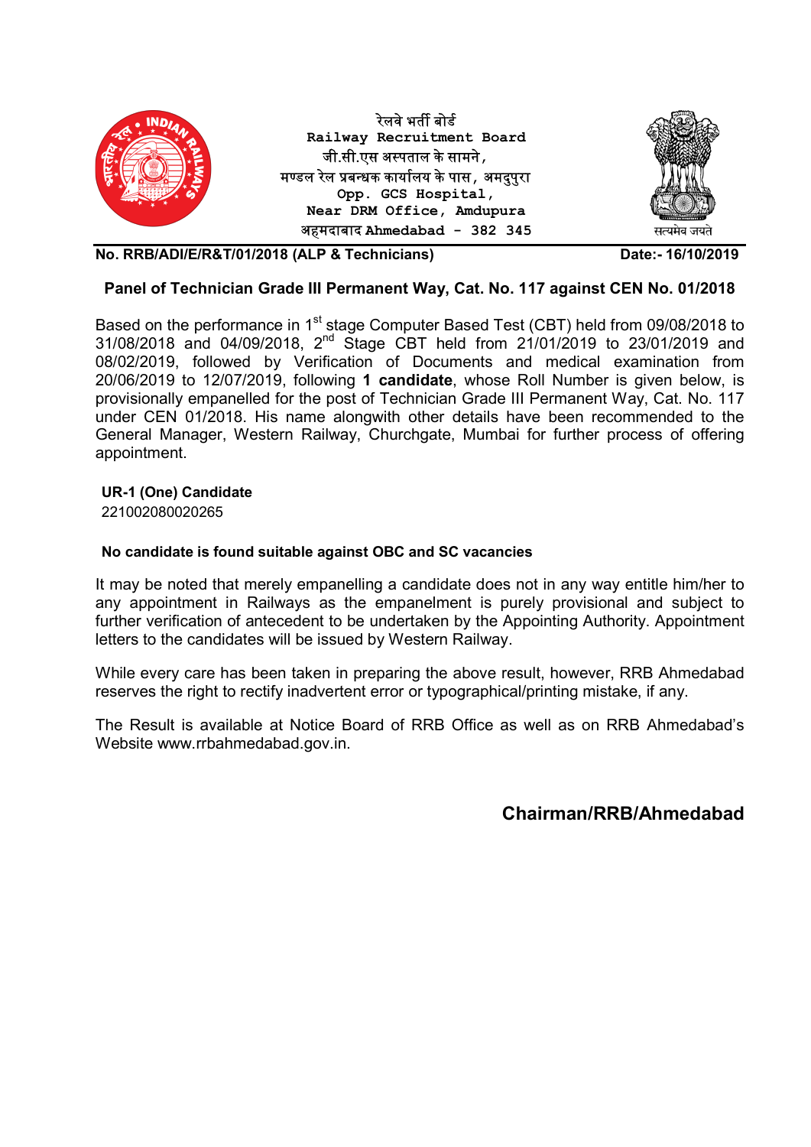

## Panel of Technician Grade III Permanent Way, Cat. No. 117 against CEN No. 01/2018

Based on the performance in 1<sup>st</sup> stage Computer Based Test (CBT) held from 09/08/2018 to 31/08/2018 and 04/09/2018, 2nd Stage CBT held from 21/01/2019 to 23/01/2019 and 08/02/2019, followed by Verification of Documents and medical examination from 20/06/2019 to 12/07/2019, following 1 candidate, whose Roll Number is given below, is provisionally empanelled for the post of Technician Grade III Permanent Way, Cat. No. 117 under CEN 01/2018. His name alongwith other details have been recommended to the General Manager, Western Railway, Churchgate, Mumbai for further process of offering appointment.

## UR-1 (One) Candidate

221002080020265

### No candidate is found suitable against OBC and SC vacancies

It may be noted that merely empanelling a candidate does not in any way entitle him/her to any appointment in Railways as the empanelment is purely provisional and subject to further verification of antecedent to be undertaken by the Appointing Authority. Appointment letters to the candidates will be issued by Western Railway.

While every care has been taken in preparing the above result, however, RRB Ahmedabad reserves the right to rectify inadvertent error or typographical/printing mistake, if any.

The Result is available at Notice Board of RRB Office as well as on RRB Ahmedabad's Website www.rrbahmedabad.gov.in.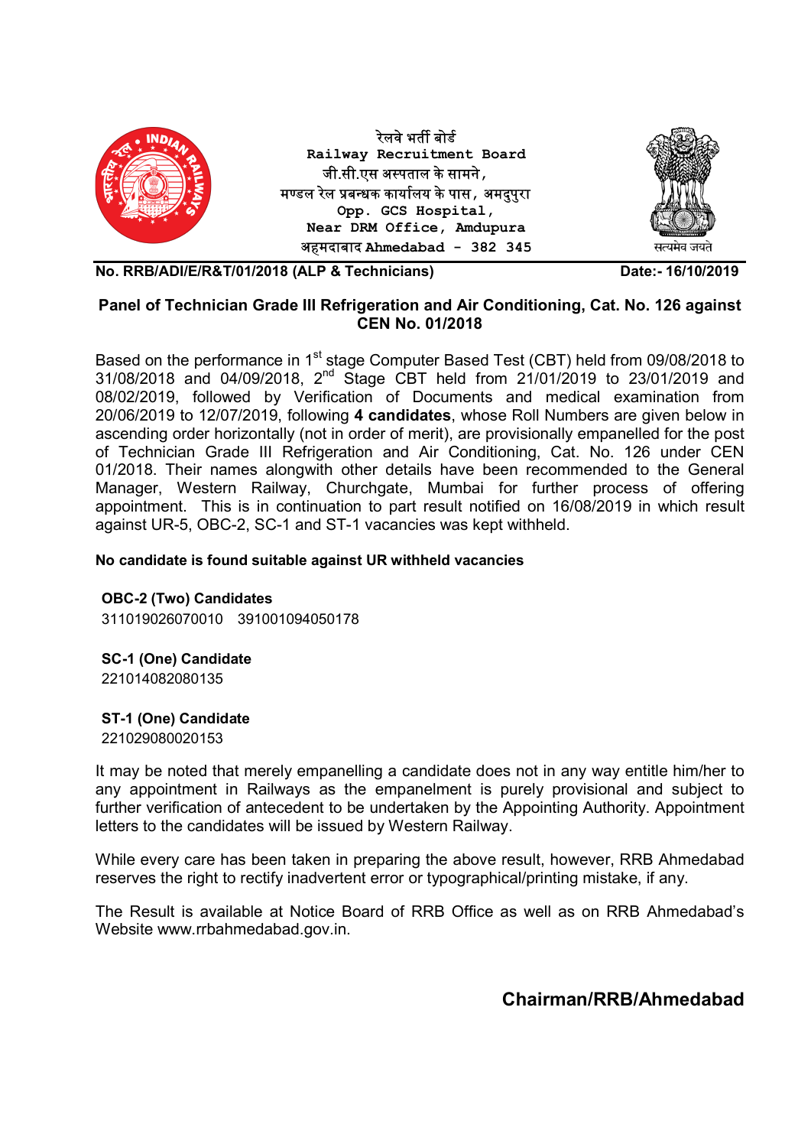

## Panel of Technician Grade III Refrigeration and Air Conditioning, Cat. No. 126 against CEN No. 01/2018

Based on the performance in 1<sup>st</sup> stage Computer Based Test (CBT) held from 09/08/2018 to 31/08/2018 and 04/09/2018, 2nd Stage CBT held from 21/01/2019 to 23/01/2019 and 08/02/2019, followed by Verification of Documents and medical examination from 20/06/2019 to 12/07/2019, following 4 candidates, whose Roll Numbers are given below in ascending order horizontally (not in order of merit), are provisionally empanelled for the post of Technician Grade III Refrigeration and Air Conditioning, Cat. No. 126 under CEN 01/2018. Their names alongwith other details have been recommended to the General Manager, Western Railway, Churchgate, Mumbai for further process of offering appointment. This is in continuation to part result notified on 16/08/2019 in which result against UR-5, OBC-2, SC-1 and ST-1 vacancies was kept withheld.

## No candidate is found suitable against UR withheld vacancies

OBC-2 (Two) Candidates 311019026070010 391001094050178

SC-1 (One) Candidate 221014082080135

## ST-1 (One) Candidate

221029080020153

It may be noted that merely empanelling a candidate does not in any way entitle him/her to any appointment in Railways as the empanelment is purely provisional and subject to further verification of antecedent to be undertaken by the Appointing Authority. Appointment letters to the candidates will be issued by Western Railway.

While every care has been taken in preparing the above result, however, RRB Ahmedabad reserves the right to rectify inadvertent error or typographical/printing mistake, if any.

The Result is available at Notice Board of RRB Office as well as on RRB Ahmedabad's Website www.rrbahmedabad.gov.in.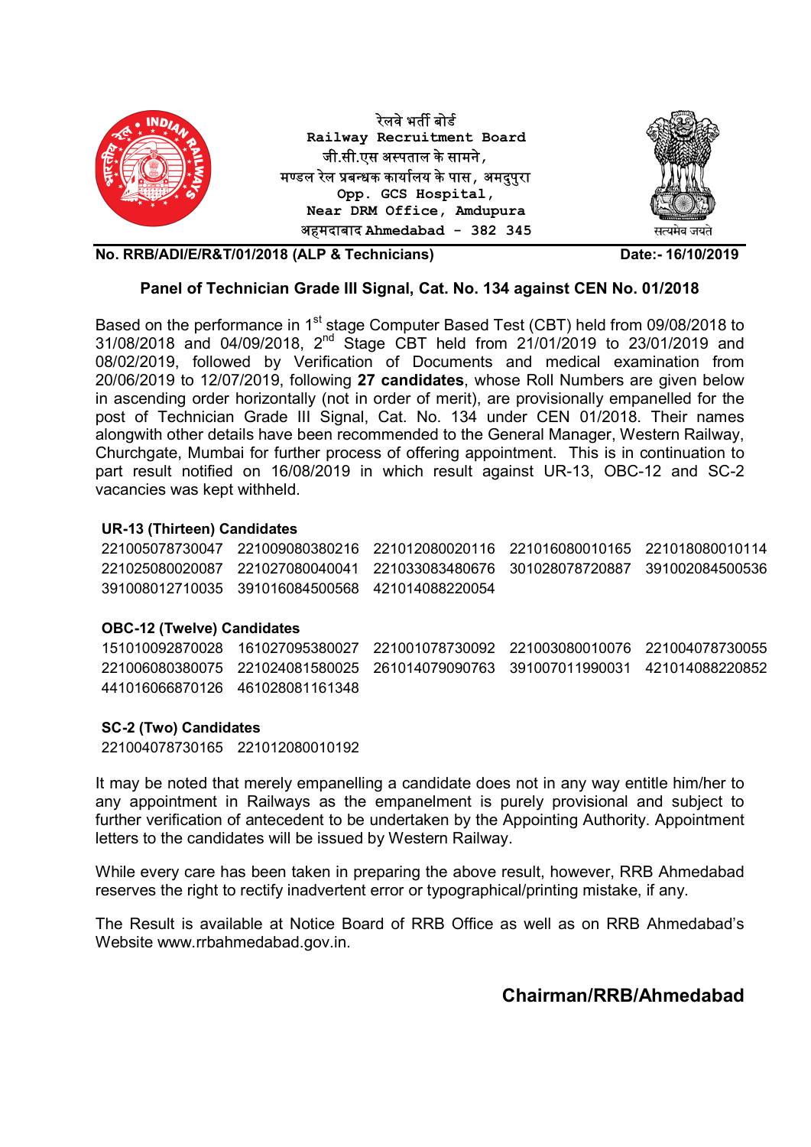

## Panel of Technician Grade III Signal, Cat. No. 134 against CEN No. 01/2018

Based on the performance in 1<sup>st</sup> stage Computer Based Test (CBT) held from 09/08/2018 to 31/08/2018 and 04/09/2018, 2nd Stage CBT held from 21/01/2019 to 23/01/2019 and 08/02/2019, followed by Verification of Documents and medical examination from 20/06/2019 to 12/07/2019, following 27 candidates, whose Roll Numbers are given below in ascending order horizontally (not in order of merit), are provisionally empanelled for the post of Technician Grade III Signal, Cat. No. 134 under CEN 01/2018. Their names alongwith other details have been recommended to the General Manager, Western Railway, Churchgate, Mumbai for further process of offering appointment. This is in continuation to part result notified on 16/08/2019 in which result against UR-13, OBC-12 and SC-2 vacancies was kept withheld.

## UR-13 (Thirteen) Candidates

221005078730047 221009080380216 221012080020116 221016080010165 221018080010114 221025080020087 221027080040041 221033083480676 301028078720887 391002084500536 391008012710035 391016084500568 421014088220054

## OBC-12 (Twelve) Candidates

151010092870028 161027095380027 221001078730092 221003080010076 221004078730055 221006080380075 221024081580025 261014079090763 391007011990031 421014088220852 441016066870126 461028081161348

## SC-2 (Two) Candidates

221004078730165 221012080010192

It may be noted that merely empanelling a candidate does not in any way entitle him/her to any appointment in Railways as the empanelment is purely provisional and subject to further verification of antecedent to be undertaken by the Appointing Authority. Appointment letters to the candidates will be issued by Western Railway.

While every care has been taken in preparing the above result, however, RRB Ahmedabad reserves the right to rectify inadvertent error or typographical/printing mistake, if any.

The Result is available at Notice Board of RRB Office as well as on RRB Ahmedabad's Website www.rrbahmedabad.gov.in.